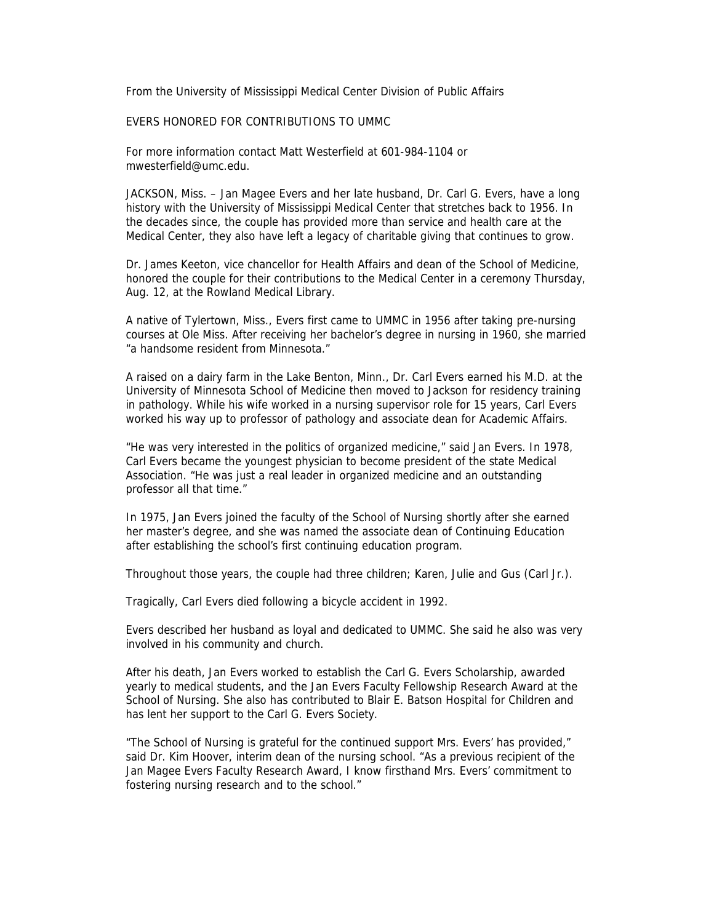From the University of Mississippi Medical Center Division of Public Affairs

## EVERS HONORED FOR CONTRIBUTIONS TO UMMC

For more information contact Matt Westerfield at 601-984-1104 or mwesterfield@umc.edu.

JACKSON, Miss. – Jan Magee Evers and her late husband, Dr. Carl G. Evers, have a long history with the University of Mississippi Medical Center that stretches back to 1956. In the decades since, the couple has provided more than service and health care at the Medical Center, they also have left a legacy of charitable giving that continues to grow.

Dr. James Keeton, vice chancellor for Health Affairs and dean of the School of Medicine, honored the couple for their contributions to the Medical Center in a ceremony Thursday, Aug. 12, at the Rowland Medical Library.

A native of Tylertown, Miss., Evers first came to UMMC in 1956 after taking pre-nursing courses at Ole Miss. After receiving her bachelor's degree in nursing in 1960, she married "a handsome resident from Minnesota."

A raised on a dairy farm in the Lake Benton, Minn., Dr. Carl Evers earned his M.D. at the University of Minnesota School of Medicine then moved to Jackson for residency training in pathology. While his wife worked in a nursing supervisor role for 15 years, Carl Evers worked his way up to professor of pathology and associate dean for Academic Affairs.

"He was very interested in the politics of organized medicine," said Jan Evers. In 1978, Carl Evers became the youngest physician to become president of the state Medical Association. "He was just a real leader in organized medicine and an outstanding professor all that time."

In 1975, Jan Evers joined the faculty of the School of Nursing shortly after she earned her master's degree, and she was named the associate dean of Continuing Education after establishing the school's first continuing education program.

Throughout those years, the couple had three children; Karen, Julie and Gus (Carl Jr.).

Tragically, Carl Evers died following a bicycle accident in 1992.

Evers described her husband as loyal and dedicated to UMMC. She said he also was very involved in his community and church.

After his death, Jan Evers worked to establish the Carl G. Evers Scholarship, awarded yearly to medical students, and the Jan Evers Faculty Fellowship Research Award at the School of Nursing. She also has contributed to Blair E. Batson Hospital for Children and has lent her support to the Carl G. Evers Society.

"The School of Nursing is grateful for the continued support Mrs. Evers' has provided," said Dr. Kim Hoover, interim dean of the nursing school. "As a previous recipient of the Jan Magee Evers Faculty Research Award, I know firsthand Mrs. Evers' commitment to fostering nursing research and to the school."